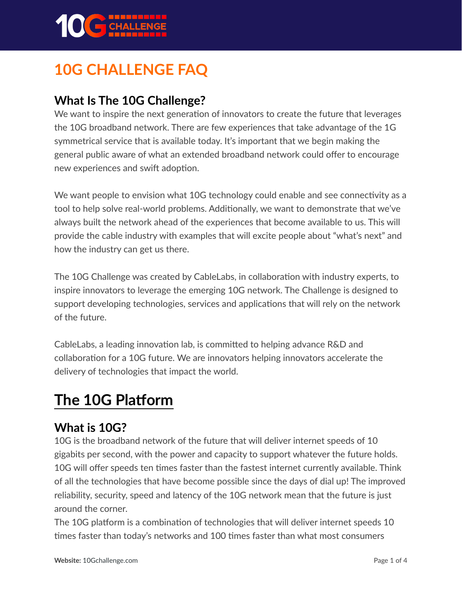

# **10G CHALLENGE FAQ**

#### **What Is The 10G Challenge?**

We want to inspire the next generation of innovators to create the future that leverages the 10G broadband network. There are few experiences that take advantage of the 1G symmetrical service that is available today. It's important that we begin making the general public aware of what an extended broadband network could offer to encourage new experiences and swift adoption.

We want people to envision what 10G technology could enable and see connectivity as a tool to help solve real-world problems. Additionally, we want to demonstrate that we've always built the network ahead of the experiences that become available to us. This will provide the cable industry with examples that will excite people about "what's next" and how the industry can get us there.

The 10G Challenge was created by CableLabs, in collaboration with industry experts, to inspire innovators to leverage the emerging 10G network. The Challenge is designed to support developing technologies, services and applications that will rely on the network of the future.

CableLabs, a leading innovation lab, is committed to helping advance R&D and collaboration for a 10G future. We are innovators helping innovators accelerate the delivery of technologies that impact the world.

## **The 10G Platform**

#### **What is 10G?**

10G is the broadband network of the future that will deliver internet speeds of 10 gigabits per second, with the power and capacity to support whatever the future holds. 10G will offer speeds ten times faster than the fastest internet currently available. Think of all the technologies that have become possible since the days of dial up! The improved reliability, security, speed and latency of the 10G network mean that the future is just around the corner.

The 10G platform is a combination of technologies that will deliver internet speeds 10 times faster than today's networks and 100 times faster than what most consumers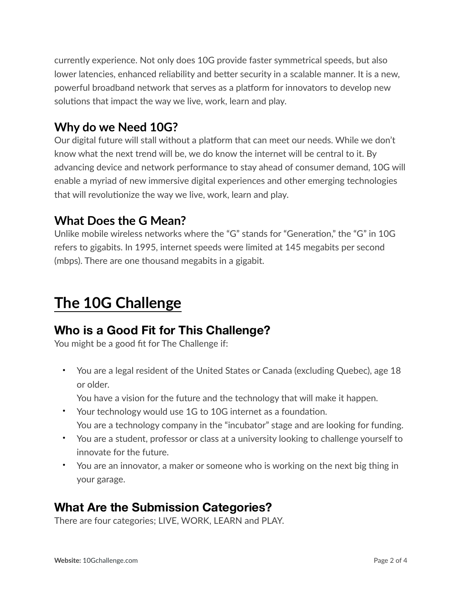currently experience. Not only does 10G provide faster symmetrical speeds, but also lower latencies, enhanced reliability and better security in a scalable manner. It is a new, powerful broadband network that serves as a platform for innovators to develop new solutions that impact the way we live, work, learn and play.

#### **Why do we Need 10G?**

Our digital future will stall without a platform that can meet our needs. While we don't know what the next trend will be, we do know the internet will be central to it. By advancing device and network performance to stay ahead of consumer demand, 10G will enable a myriad of new immersive digital experiences and other emerging technologies that will revolutionize the way we live, work, learn and play.

#### **What Does the G Mean?**

Unlike mobile wireless networks where the "G" stands for "Generation," the "G" in 10G refers to gigabits. In 1995, internet speeds were limited at 145 megabits per second (mbps). There are one thousand megabits in a gigabit.

## **The 10G Challenge**

#### **Who is a Good Fit for This Challenge?**

You might be a good fit for The Challenge if:

• You are a legal resident of the United States or Canada (excluding Quebec), age 18 or older.

You have a vision for the future and the technology that will make it happen.

- Your technology would use 1G to 10G internet as a foundation. You are a technology company in the "incubator" stage and are looking for funding.
- You are a student, professor or class at a university looking to challenge yourself to innovate for the future.
- You are an innovator, a maker or someone who is working on the next big thing in your garage.

#### **What Are the Submission Categories?**

There are four categories; LIVE, WORK, LEARN and PLAY.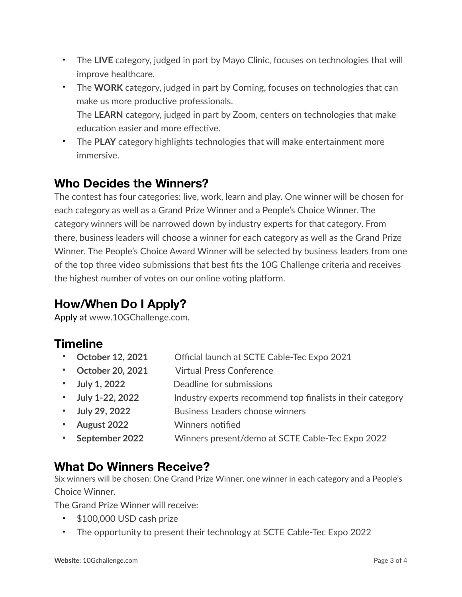- The **LIVE** category, judged in part by Mayo Clinic, focuses on technologies that will improve healthcare.
- The **WORK** category, judged in part by Corning, focuses on technologies that can make us more productive professionals.

The **LEARN** category, judged in part by Zoom, centers on technologies that make education easier and more effective.

• The **PLAY** category highlights technologies that will make entertainment more immersive.

### **Who Decides the Winners?**

The contest has four categories: live, work, learn and play. One winner will be chosen for each category as well as a Grand Prize Winner and a People's Choice Winner. The category winners will be narrowed down by industry experts for that category. From there, business leaders will choose a winner for each category as well as the Grand Prize Winner. The People's Choice Award Winner will be selected by business leaders from one of the top three video submissions that best fits the 10G Challenge criteria and receives the highest number of votes on our online voting platform.

## **How/When Do I Apply?**

Apply at [www.10GChallenge.com.](http://www.10gchallenge.com/)

## **Timeline**

- **• October 12, 2021** Official launch at SCTE Cable-Tec Expo 2021
- **• October 20, 2021** Virtual Press Conference
- **• July 1, 2022** Deadline for submissions
- **• July 1-22, 2022** Industry experts recommend top finalists in their category
- **• July 29, 2022** Business Leaders choose winners
- **• August 2022** Winners notified
- **• September 2022** Winners present/demo at SCTE Cable-Tec Expo 2022

#### **What Do Winners Receive?**

Six winners will be chosen: One Grand Prize Winner, one winner in each category and a People's Choice Winner.

The Grand Prize Winner will receive:

- \$100,000 USD cash prize
- The opportunity to present their technology at SCTE Cable-Tec Expo 2022